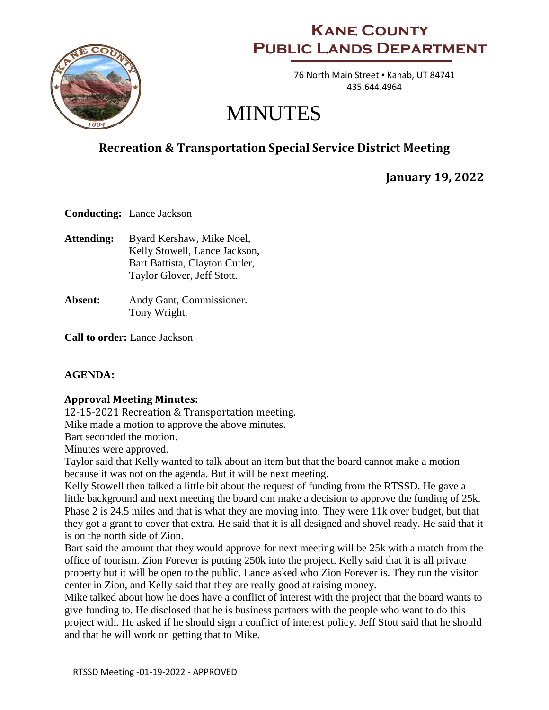

## **Kane County Public Lands Department**

76 North Main Street . Kanab, UT 84741 435.644.4964

# MINUTES

## **Recreation & Transportation Special Service District Meeting**

**January 19, 2022**

**Conducting:** Lance Jackson

- **Attending:** Byard Kershaw, Mike Noel, Kelly Stowell, Lance Jackson, Bart Battista, Clayton Cutler, Taylor Glover, Jeff Stott.
- **Absent:** Andy Gant, Commissioner. Tony Wright.

**Call to order:** Lance Jackson

### **AGENDA:**

### **Approval Meeting Minutes:**

12-15-2021 Recreation & Transportation meeting. Mike made a motion to approve the above minutes.

Bart seconded the motion.

Minutes were approved.

Taylor said that Kelly wanted to talk about an item but that the board cannot make a motion because it was not on the agenda. But it will be next meeting.

Kelly Stowell then talked a little bit about the request of funding from the RTSSD. He gave a little background and next meeting the board can make a decision to approve the funding of 25k. Phase 2 is 24.5 miles and that is what they are moving into. They were 11k over budget, but that they got a grant to cover that extra. He said that it is all designed and shovel ready. He said that it is on the north side of Zion.

Bart said the amount that they would approve for next meeting will be 25k with a match from the office of tourism. Zion Forever is putting 250k into the project. Kelly said that it is all private property but it will be open to the public. Lance asked who Zion Forever is. They run the visitor center in Zion, and Kelly said that they are really good at raising money.

Mike talked about how he does have a conflict of interest with the project that the board wants to give funding to. He disclosed that he is business partners with the people who want to do this project with. He asked if he should sign a conflict of interest policy. Jeff Stott said that he should and that he will work on getting that to Mike.